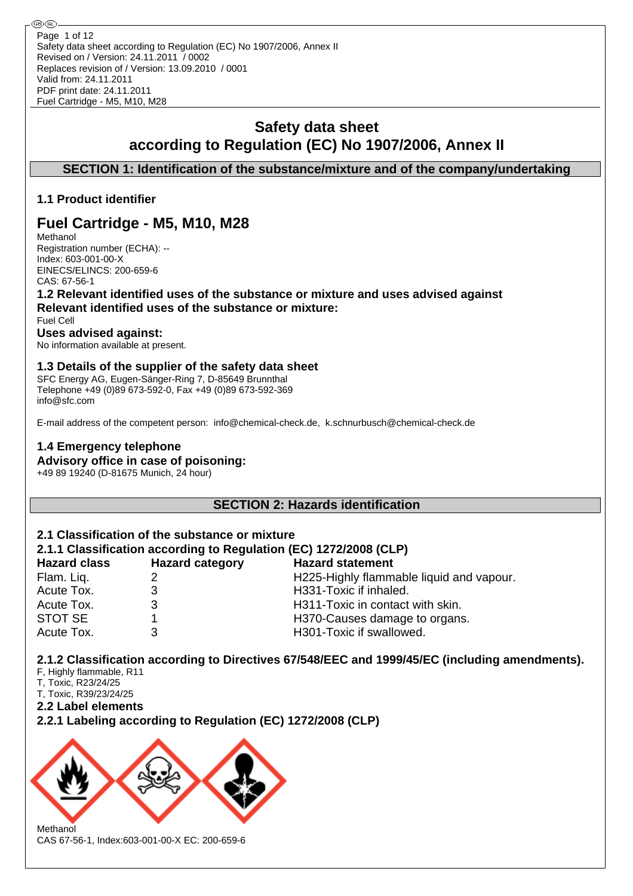⊛® Page 1 of 12Safety data sheet according to Regulation (EC) No 1907/2006, Annex II Revised on / Version: 24.11.2011 / 0002 Replaces revision of / Version: 13.09.2010 / 0001 Valid from: 24.11.2011 PDF print date: 24.11.2011 Fuel Cartridge - M5, M10, M28

# **Safety data sheet according to Regulation (EC) No 1907/2006, Annex II**

**SECTION 1: Identification of the substance/mixture and of the company/undertaking**

# **1.1 Product identifier**

# **Fuel Cartridge - M5, M10, M28**

Methanol Registration number (ECHA): -- Index: 603-001-00-X EINECS/ELINCS: 200-659-6 CAS: 67-56-1

**1.2 Relevant identified uses of the substance or mixture and uses advised against Relevant identified uses of the substance or mixture:**

#### Fuel Cell **Uses advised against:**

No information available at present.

# **1.3 Details of the supplier of the safety data sheet**

SFC Energy AG, Eugen-Sänger-Ring 7, D-85649 Brunnthal Telephone +49 (0)89 673-592-0, Fax +49 (0)89 673-592-369 info@sfc.com

E-mail address of the competent person: info@chemical-check.de, k.schnurbusch@chemical-check.de

# **1.4 Emergency telephone Advisory office in case of poisoning:**

+49 89 19240 (D-81675 Munich, 24 hour)

**SECTION 2: Hazards identification**

# **2.1 Classification of the substance or mixture**

# **2.1.1 Classification according to Regulation (EC) 1272/2008 (CLP)**

| <b>Hazard class</b> | <b>Hazard category</b> | <b>Hazard statement</b>                  |
|---------------------|------------------------|------------------------------------------|
| Flam. Liq.          |                        | H225-Highly flammable liquid and vapour. |
| Acute Tox.          |                        | H331-Toxic if inhaled.                   |
| Acute Tox.          |                        | H311-Toxic in contact with skin.         |
| STOT SE             |                        | H370-Causes damage to organs.            |
| Acute Tox.          |                        | H301-Toxic if swallowed.                 |

**2.1.2 Classification according to Directives 67/548/EEC and 1999/45/EC (including amendments).**

- F, Highly flammable, R11
- T, Toxic, R23/24/25 T, Toxic, R39/23/24/25
- 
- **2.2 Label elements**

**2.2.1 Labeling according to Regulation (EC) 1272/2008 (CLP)**



CAS 67-56-1, Index:603-001-00-X EC: 200-659-6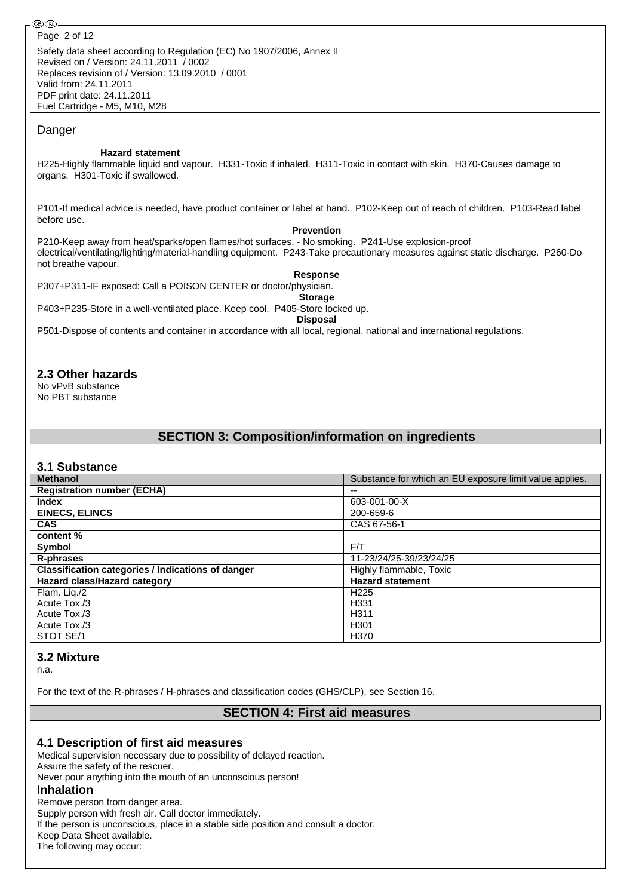Safety data sheet according to Regulation (EC) No 1907/2006, Annex II Revised on / Version: 24.11.2011 / 0002 Replaces revision of / Version: 13.09.2010 / 0001 Valid from: 24.11.2011 PDF print date: 24.11.2011 Fuel Cartridge - M5, M10, M28

#### Danger

#### **Hazard statement**

H225-Highly flammable liquid and vapour. H331-Toxic if inhaled. H311-Toxic in contact with skin. H370-Causes damage to organs. H301-Toxic if swallowed.

P101-If medical advice is needed, have product container or label at hand. P102-Keep out of reach of children. P103-Read label before use.

#### **Prevention**

P210-Keep away from heat/sparks/open flames/hot surfaces. - No smoking. P241-Use explosion-proof electrical/ventilating/lighting/material-handling equipment. P243-Take precautionary measures against static discharge. P260-Do not breathe vapour.

#### **Response**

P307+P311-IF exposed: Call a POISON CENTER or doctor/physician.

**Storage** P403+P235-Store in a well-ventilated place. Keep cool. P405-Store locked up.

**Disposal**

P501-Dispose of contents and container in accordance with all local, regional, national and international regulations.

### **2.3 Other hazards**

No vPvB substance No PBT substance

# **SECTION 3: Composition/information on ingredients**

#### **3.1 Substance**

| <b>Methanol</b>                                          | Substance for which an EU exposure limit value applies. |
|----------------------------------------------------------|---------------------------------------------------------|
| <b>Registration number (ECHA)</b>                        | --                                                      |
| <b>Index</b>                                             | 603-001-00-X                                            |
| <b>EINECS, ELINCS</b>                                    | 200-659-6                                               |
| <b>CAS</b>                                               | CAS 67-56-1                                             |
| content %                                                |                                                         |
| Symbol                                                   | F/T                                                     |
| R-phrases                                                | 11-23/24/25-39/23/24/25                                 |
| <b>Classification categories / Indications of danger</b> | Highly flammable, Toxic                                 |
| Hazard class/Hazard category                             | <b>Hazard statement</b>                                 |
| Flam. Lig./2                                             | H <sub>225</sub>                                        |
| Acute Tox./3                                             | H <sub>331</sub>                                        |
| Acute Tox./3                                             | H <sub>311</sub>                                        |
| Acute Tox./3                                             | H <sub>301</sub>                                        |
| STOT SE/1                                                | H <sub>370</sub>                                        |

#### **3.2 Mixture**

n.a.

For the text of the R-phrases / H-phrases and classification codes (GHS/CLP), see Section 16.

# **SECTION 4: First aid measures**

#### **4.1 Description of first aid measures**

Medical supervision necessary due to possibility of delayed reaction. Assure the safety of the rescuer. Never pour anything into the mouth of an unconscious person! **Inhalation** Remove person from danger area. Supply person with fresh air. Call doctor immediately. If the person is unconscious, place in a stable side position and consult a doctor.

Keep Data Sheet available. The following may occur: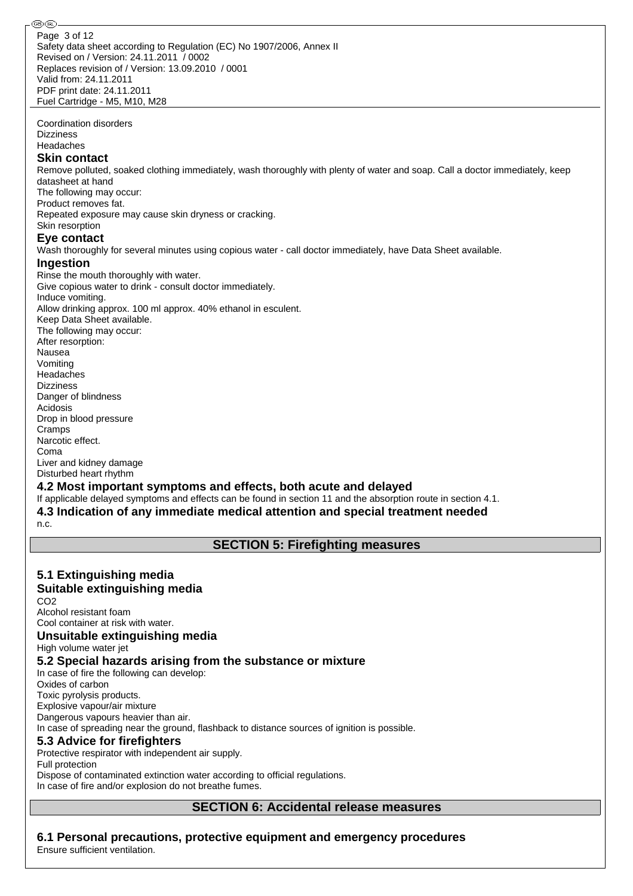Safety data sheet according to Regulation (EC) No 1907/2006, Annex II Revised on / Version: 24.11.2011 / 0002 Replaces revision of / Version: 13.09.2010 / 0001 Valid from: 24.11.2011 PDF print date: 24.11.2011 Fuel Cartridge - M5, M10, M28 Page 3 of 12

Coordination disorders Dizziness

Headaches

#### **Skin contact**

Remove polluted, soaked clothing immediately, wash thoroughly with plenty of water and soap. Call a doctor immediately, keep datasheet at hand

The following may occur:

Product removes fat. Repeated exposure may cause skin dryness or cracking.

Skin resorption

# **Eye contact**

Wash thoroughly for several minutes using copious water - call doctor immediately, have Data Sheet available.

#### **Ingestion**

Rinse the mouth thoroughly with water. Give copious water to drink - consult doctor immediately. Induce vomiting. Allow drinking approx. 100 ml approx. 40% ethanol in esculent. Keep Data Sheet available. The following may occur: After resorption: Nausea Vomiting Headaches Dizziness Danger of blindness Acidosis Drop in blood pressure Cramps Narcotic effect. Coma Liver and kidney damage

Disturbed heart rhythm

#### **4.2 Most important symptoms and effects, both acute and delayed**

If applicable delayed symptoms and effects can be found in section 11 and the absorption route in section 4.1. **4.3 Indication of any immediate medical attention and special treatment needed**

n.c.

# **SECTION 5: Firefighting measures**

# **5.1 Extinguishing media**

# **Suitable extinguishing media**

CO2 Alcohol resistant foam Cool container at risk with water.

#### **Unsuitable extinguishing media**

High volume water jet

### **5.2 Special hazards arising from the substance or mixture**

In case of fire the following can develop: Oxides of carbon Toxic pyrolysis products. Explosive vapour/air mixture Dangerous vapours heavier than air. In case of spreading near the ground, flashback to distance sources of ignition is possible. **5.3 Advice for firefighters** Protective respirator with independent air supply. Full protection

Dispose of contaminated extinction water according to official regulations. In case of fire and/or explosion do not breathe fumes.

# **SECTION 6: Accidental release measures**

**6.1 Personal precautions, protective equipment and emergency procedures** Ensure sufficient ventilation.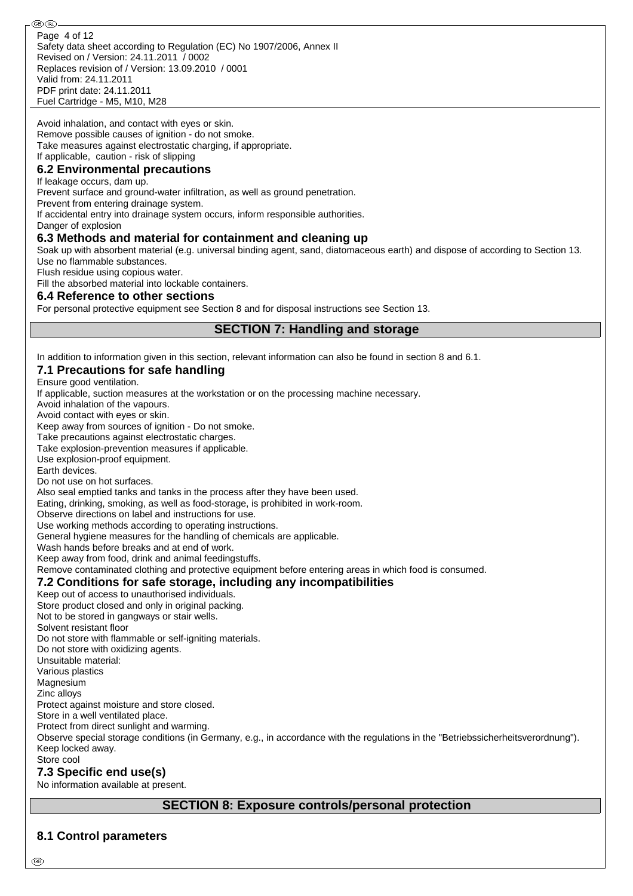Safety data sheet according to Regulation (EC) No 1907/2006, Annex II Revised on / Version: 24.11.2011 / 0002 Replaces revision of / Version: 13.09.2010 / 0001 Valid from: 24.11.2011 PDF print date: 24.11.2011 Fuel Cartridge - M5, M10, M28 Page 4 of 12

Avoid inhalation, and contact with eyes or skin. Remove possible causes of ignition - do not smoke. Take measures against electrostatic charging, if appropriate. If applicable, caution - risk of slipping

### **6.2 Environmental precautions**

If leakage occurs, dam up.

Prevent surface and ground-water infiltration, as well as ground penetration.

Prevent from entering drainage system.

If accidental entry into drainage system occurs, inform responsible authorities.

Danger of explosion

#### **6.3 Methods and material for containment and cleaning up**

Soak up with absorbent material (e.g. universal binding agent, sand, diatomaceous earth) and dispose of according to Section 13. Use no flammable substances.

Flush residue using copious water.

Fill the absorbed material into lockable containers.

#### **6.4 Reference to other sections**

For personal protective equipment see Section 8 and for disposal instructions see Section 13.

**SECTION 7: Handling and storage**

In addition to information given in this section, relevant information can also be found in section 8 and 6.1.

#### **7.1 Precautions for safe handling**

Ensure good ventilation.

If applicable, suction measures at the workstation or on the processing machine necessary.

Avoid inhalation of the vapours.

Avoid contact with eyes or skin.

Keep away from sources of ignition - Do not smoke.

Take precautions against electrostatic charges.

Take explosion-prevention measures if applicable.

Use explosion-proof equipment.

Earth devices.

Do not use on hot surfaces.

Also seal emptied tanks and tanks in the process after they have been used.

Eating, drinking, smoking, as well as food-storage, is prohibited in work-room.

Observe directions on label and instructions for use.

Use working methods according to operating instructions.

General hygiene measures for the handling of chemicals are applicable.

Wash hands before breaks and at end of work.

Keep away from food, drink and animal feedingstuffs.

Remove contaminated clothing and protective equipment before entering areas in which food is consumed.

# **7.2 Conditions for safe storage, including any incompatibilities**

Keep out of access to unauthorised individuals.

Store product closed and only in original packing.

Not to be stored in gangways or stair wells.

Solvent resistant floor

Do not store with flammable or self-igniting materials.

Do not store with oxidizing agents.

Unsuitable material:

Various plastics Magnesium

Zinc alloys

Protect against moisture and store closed.

Store in a well ventilated place.

Protect from direct sunlight and warming.

Observe special storage conditions (in Germany, e.g., in accordance with the regulations in the "Betriebssicherheitsverordnung"). Keep locked away.

Store cool

#### **7.3 Specific end use(s)**

No information available at present.

# **SECTION 8: Exposure controls/personal protection**

#### **8.1 Control parameters**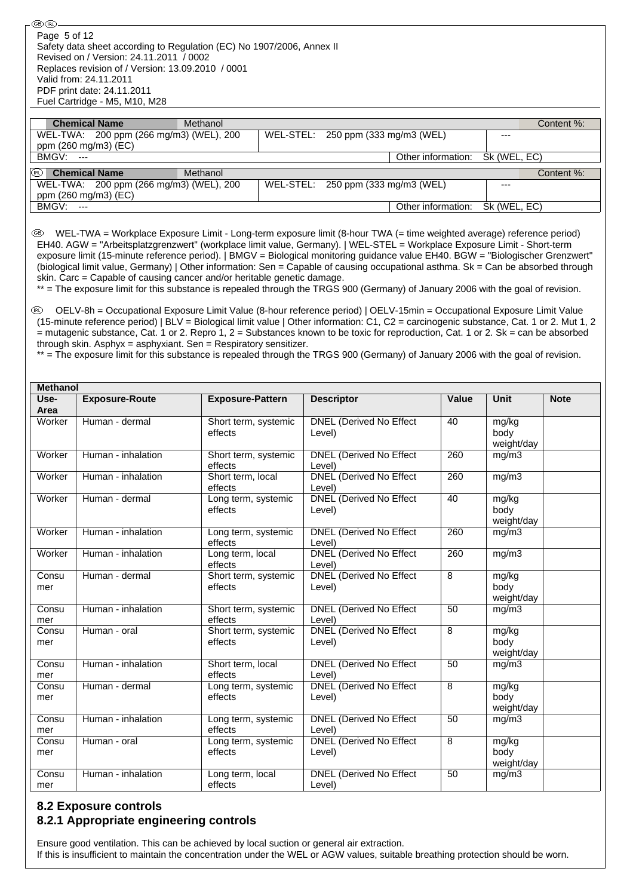Safety data sheet according to Regulation (EC) No 1907/2006, Annex II Revised on / Version: 24.11.2011 / 0002 Replaces revision of / Version: 13.09.2010 / 0001 Valid from: 24.11.2011 PDF print date: 24.11.2011 Fuel Cartridge - M5, M10, M28 Page 5 of 12

⊛®

| <b>Chemical Name</b>                    | Methanol |                                    |                                 |              | Content %: |
|-----------------------------------------|----------|------------------------------------|---------------------------------|--------------|------------|
| WEL-TWA: 200 ppm (266 mg/m3) (WEL), 200 |          | WEL-STEL: 250 ppm (333 mg/m3 (WEL) |                                 | $--$         |            |
| ppm (260 mg/m3) (EC)                    |          |                                    |                                 |              |            |
| BMGV:<br>$-$                            |          |                                    | Other information: Sk (WEL, EC) |              |            |
| <b>Chemical Name</b><br>QRD.            | Methanol |                                    |                                 |              | Content %: |
| WEL-TWA: 200 ppm (266 mg/m3) (WEL), 200 |          | WEL-STEL: 250 ppm (333 mg/m3 (WEL) |                                 | $---$        |            |
| ppm (260 mg/m3) (EC)                    |          |                                    |                                 |              |            |
| BMGV:<br>$- - -$                        |          |                                    | Other information:              | Sk (WEL, EC) |            |

 WEL-TWA = Workplace Exposure Limit - Long-term exposure limit (8-hour TWA (= time weighted average) reference period) EH40. AGW = "Arbeitsplatzgrenzwert" (workplace limit value, Germany). | WEL-STEL = Workplace Exposure Limit - Short-term exposure limit (15-minute reference period). | BMGV = Biological monitoring guidance value EH40. BGW = "Biologischer Grenzwert" (biological limit value, Germany) | Other information: Sen = Capable of causing occupational asthma. Sk = Can be absorbed through skin. Carc = Capable of causing cancer and/or heritable genetic damage.

\*\* = The exposure limit for this substance is repealed through the TRGS 900 (Germany) of January 2006 with the goal of revision.

 OELV-8h = Occupational Exposure Limit Value (8-hour reference period) | OELV-15min = Occupational Exposure Limit Value (15-minute reference period) | BLV = Biological limit value | Other information: C1, C2 = carcinogenic substance, Cat. 1 or 2. Mut 1, 2  $=$  mutagenic substance, Cat. 1 or 2. Repro 1, 2 = Substances known to be toxic for reproduction, Cat. 1 or 2. Sk = can be absorbed through skin. Asphyx = asphyxiant. Sen = Respiratory sensitizer.

\*\* = The exposure limit for this substance is repealed through the TRGS 900 (Germany) of January 2006 with the goal of revision.

| <b>Methanol</b> |                       |                                 |                                          |       |                    |             |  |
|-----------------|-----------------------|---------------------------------|------------------------------------------|-------|--------------------|-------------|--|
| Use-            | <b>Exposure-Route</b> | <b>Exposure-Pattern</b>         | <b>Descriptor</b>                        | Value | <b>Unit</b>        | <b>Note</b> |  |
| Area<br>Worker  | Human - dermal        | Short term, systemic            | DNEL (Derived No Effect                  | 40    | mg/kg              |             |  |
|                 |                       | effects                         | Level)                                   |       | body               |             |  |
|                 |                       |                                 |                                          |       | weight/day         |             |  |
| Worker          | Human - inhalation    | Short term, systemic<br>effects | DNEL (Derived No Effect<br>Level)        | 260   | mg/m3              |             |  |
| Worker          | Human - inhalation    | Short term, local               | <b>DNEL</b> (Derived No Effect           | 260   | mg/m3              |             |  |
|                 |                       | effects                         | Level)                                   |       |                    |             |  |
| Worker          | Human - dermal        | Long term, systemic             | <b>DNEL</b> (Derived No Effect           | 40    | mg/kg              |             |  |
|                 |                       | effects                         | Level)                                   |       | body               |             |  |
|                 |                       |                                 |                                          |       | weight/day         |             |  |
| Worker          | Human - inhalation    | Long term, systemic<br>effects  | DNEL (Derived No Effect<br>Level)        | 260   | mg/m3              |             |  |
| Worker          | Human - inhalation    | Long term, local<br>effects     | <b>DNEL</b> (Derived No Effect<br>Level) | 260   | mg/m3              |             |  |
| Consu           | Human - dermal        | Short term, systemic            | <b>DNEL</b> (Derived No Effect           | 8     | mg/kg              |             |  |
| mer             |                       | effects                         | Level)                                   |       | body               |             |  |
|                 |                       |                                 |                                          |       | weight/day         |             |  |
| Consu<br>mer    | Human - inhalation    | Short term, systemic<br>effects | <b>DNEL (Derived No Effect</b><br>Level) | 50    | mg/m3              |             |  |
| Consu           | Human - oral          | Short term, systemic            | <b>DNEL</b> (Derived No Effect           | 8     | mg/kg              |             |  |
| mer             |                       | effects                         | Level)                                   |       | body               |             |  |
|                 |                       |                                 |                                          |       | weight/day         |             |  |
| Consu<br>mer    | Human - inhalation    | Short term, local<br>effects    | DNEL (Derived No Effect<br>Level)        | 50    | mg/m3              |             |  |
| Consu           | Human - dermal        | Long term, systemic             | DNEL (Derived No Effect                  | 8     | mg/kg              |             |  |
| mer             |                       | effects                         | Level)                                   |       | body               |             |  |
|                 |                       |                                 |                                          |       | weight/day         |             |  |
| Consu           | Human - inhalation    | Long term, systemic             | DNEL (Derived No Effect                  | 50    | mg/m3              |             |  |
| mer             |                       | effects                         | Level)                                   |       |                    |             |  |
| Consu           | Human - oral          | Long term, systemic             | <b>DNEL</b> (Derived No Effect           | 8     | mg/kg              |             |  |
| mer             |                       | effects                         | Level)                                   |       | body               |             |  |
| Consu           | Human - inhalation    |                                 | <b>DNEL (Derived No Effect</b>           | 50    | weight/day         |             |  |
| mer             |                       | Long term, local<br>effects     | Level)                                   |       | $mg/m\overline{3}$ |             |  |
|                 |                       |                                 |                                          |       |                    |             |  |

# **8.2 Exposure controls 8.2.1 Appropriate engineering controls**

Ensure good ventilation. This can be achieved by local suction or general air extraction. If this is insufficient to maintain the concentration under the WEL or AGW values, suitable breathing protection should be worn.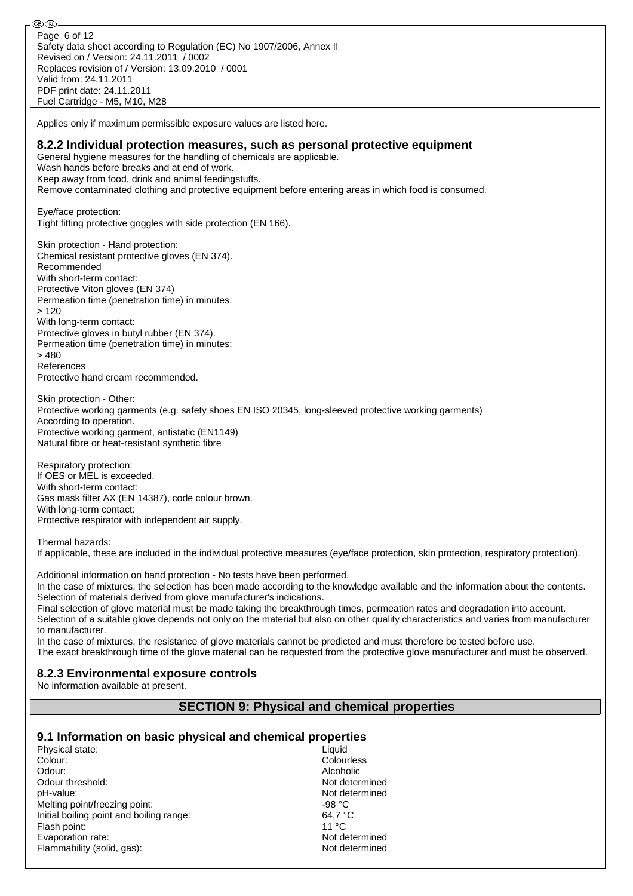Safety data sheet according to Regulation (EC) No 1907/2006, Annex II Revised on / Version: 24.11.2011 / 0002 Replaces revision of / Version: 13.09.2010 / 0001 Valid from: 24.11.2011 PDF print date: 24.11.2011 Fuel Cartridge - M5, M10, M28 Page 6 of 12

Applies only if maximum permissible exposure values are listed here.

#### **8.2.2 Individual protection measures, such as personal protective equipment**

General hygiene measures for the handling of chemicals are applicable. Wash hands before breaks and at end of work. Keep away from food, drink and animal feedingstuffs.

Remove contaminated clothing and protective equipment before entering areas in which food is consumed.

Eye/face protection: Tight fitting protective goggles with side protection (EN 166).

Skin protection - Hand protection: Chemical resistant protective gloves (EN 374). Recommended With short-term contact: Protective Viton gloves (EN 374) Permeation time (penetration time) in minutes: > 120 With long-term contact: Protective gloves in butyl rubber (EN 374). Permeation time (penetration time) in minutes:  $> 480$ References Protective hand cream recommended.

Skin protection - Other: Protective working garments (e.g. safety shoes EN ISO 20345, long-sleeved protective working garments) According to operation. Protective working garment, antistatic (EN1149) Natural fibre or heat-resistant synthetic fibre

Respiratory protection: If OES or MEL is exceeded. With short-term contact: Gas mask filter AX (EN 14387), code colour brown. With long-term contact: Protective respirator with independent air supply.

Thermal hazards:

®0බ

If applicable, these are included in the individual protective measures (eye/face protection, skin protection, respiratory protection).

Additional information on hand protection - No tests have been performed.

In the case of mixtures, the selection has been made according to the knowledge available and the information about the contents. Selection of materials derived from glove manufacturer's indications.

Final selection of glove material must be made taking the breakthrough times, permeation rates and degradation into account. Selection of a suitable glove depends not only on the material but also on other quality characteristics and varies from manufacturer to manufacturer.

In the case of mixtures, the resistance of glove materials cannot be predicted and must therefore be tested before use. The exact breakthrough time of the glove material can be requested from the protective glove manufacturer and must be observed.

#### **8.2.3 Environmental exposure controls**

No information available at present.

#### **SECTION 9: Physical and chemical properties**

#### **9.1 Information on basic physical and chemical properties**

Physical state: Liquid Colour: Colourless Odour: Alcoholic Odour threshold: Not determined pH-value: Not determined Melting point/freezing point:  $-98 °C$ Initial boiling point and boiling range: 64,7 °C Flash point: 11 °C<br>
Evaporation rate: 11 °C<br>
Evaporation rate: 11 °C Evaporation rate: Flammability (solid, gas): Not determined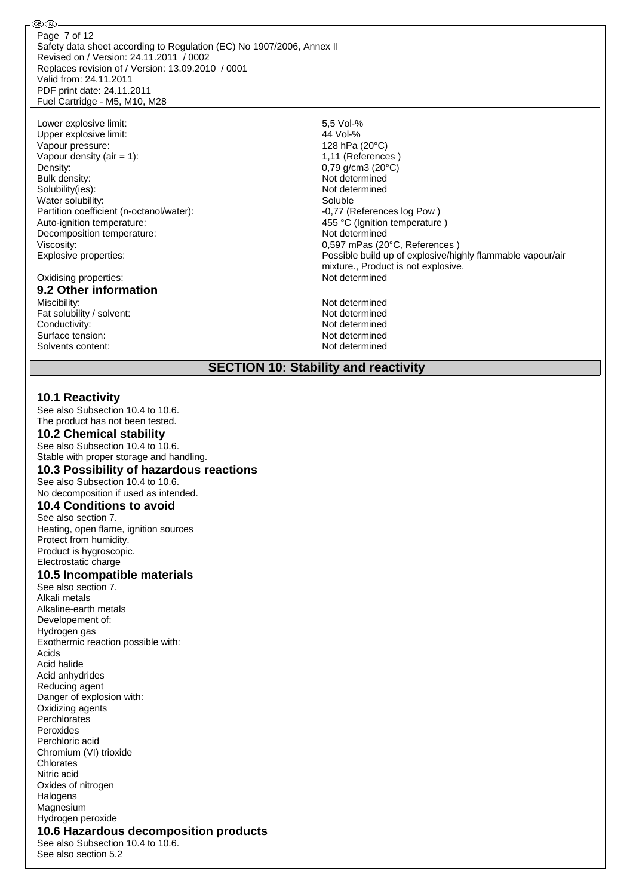Safety data sheet according to Regulation (EC) No 1907/2006, Annex II Revised on / Version: 24.11.2011 / 0002 Replaces revision of / Version: 13.09.2010 / 0001 Valid from: 24.11.2011 PDF print date: 24.11.2011 Fuel Cartridge - M5, M10, M28 Page 7 of 12

Lower explosive limit: 5,5 Vol-% Upper explosive limit: Vapour pressure: 128 hPa (20°C) Vapour density  $(air = 1)$ :  $1,11$  (References ) Density: 0.79 g/cm3 (20°C) Bulk density: Not determined Solubility(ies): Not determined Water solubility: Soluble Partition coefficient (n-octanol/water): -0,77 (References log Pow) Auto-ignition temperature:  $455 \text{ °C (Ignition temperature)}$ Decomposition temperature: Not determined Viscosity: 0,597 mPas (20°C, References )

#### Oxidising properties: Not determined **9.2 Other information**

⊛®

Miscibility: Not determined Fat solubility / solvent: Not determined Conductivity:<br>
Surface tension:<br>
Not determined<br>
Not determined Surface tension: Not determined<br>Solvents content: Not determined<br>Not determined Solvents content:

Explosive properties: explosive properties: explosive properties: explosive/highly flammable vapour/air mixture., Product is not explosive.

# **SECTION 10: Stability and reactivity**

#### **10.1 Reactivity**

See also Subsection 10.4 to 10.6. The product has not been tested.

### **10.2 Chemical stability**

See also Subsection 10.4 to 10.6. Stable with proper storage and handling.

### **10.3 Possibility of hazardous reactions**

See also Subsection 10.4 to 10.6. No decomposition if used as intended.

# **10.4 Conditions to avoid**

See also section 7. Heating, open flame, ignition sources Protect from humidity. Product is hygroscopic. Electrostatic charge

#### **10.5 Incompatible materials**

See also section 7. Alkali metals Alkaline-earth metals Developement of: Hydrogen gas Exothermic reaction possible with: Acids Acid halide Acid anhydrides Reducing agent Danger of explosion with: Oxidizing agents **Perchlorates** Peroxides Perchloric acid Chromium (VI) trioxide Chlorates Nitric acid Oxides of nitrogen **Halogens Magnesium** Hydrogen peroxide **10.6 Hazardous decomposition products** See also Subsection 10.4 to 10.6. See also section 5.2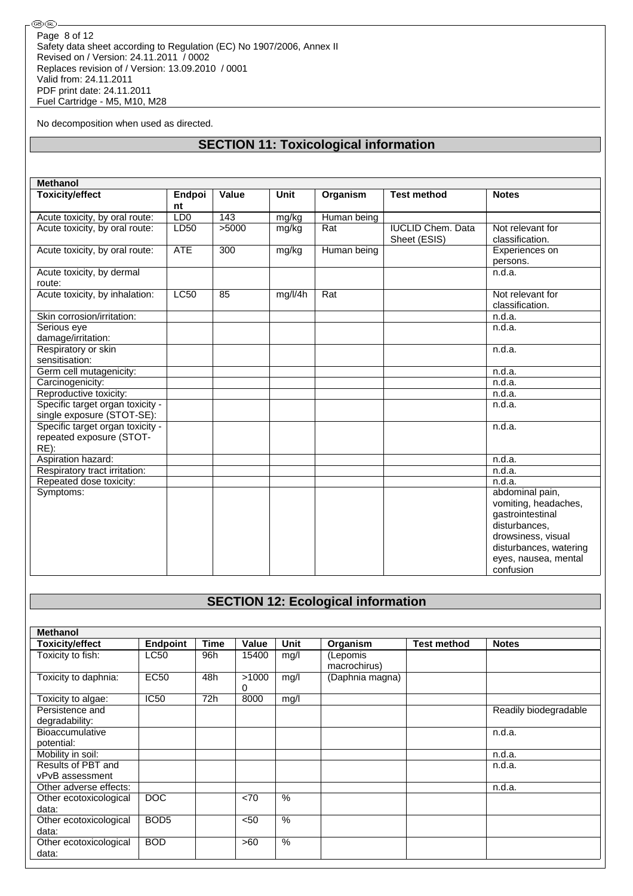No decomposition when used as directed.

# **SECTION 11: Toxicological information**

| <b>Methanol</b>                                                         |                 |       |             |             |                                          |                                                                                                                                                                   |
|-------------------------------------------------------------------------|-----------------|-------|-------------|-------------|------------------------------------------|-------------------------------------------------------------------------------------------------------------------------------------------------------------------|
| <b>Toxicity/effect</b>                                                  | Endpoi<br>nt    | Value | <b>Unit</b> | Organism    | <b>Test method</b>                       | <b>Notes</b>                                                                                                                                                      |
| Acute toxicity, by oral route:                                          | LD <sub>0</sub> | 143   | mg/kg       | Human being |                                          |                                                                                                                                                                   |
| Acute toxicity, by oral route:                                          | LD50            | >5000 | mg/kg       | Rat         | <b>IUCLID Chem. Data</b><br>Sheet (ESIS) | Not relevant for<br>classification.                                                                                                                               |
| Acute toxicity, by oral route:                                          | <b>ATE</b>      | 300   | mg/kg       | Human being |                                          | Experiences on<br>persons.                                                                                                                                        |
| Acute toxicity, by dermal<br>route:                                     |                 |       |             |             |                                          | n.d.a.                                                                                                                                                            |
| Acute toxicity, by inhalation:                                          | LC50            | 85    | mg/l/4h     | Rat         |                                          | Not relevant for<br>classification.                                                                                                                               |
| Skin corrosion/irritation:                                              |                 |       |             |             |                                          | n.d.a.                                                                                                                                                            |
| Serious eye<br>damage/irritation:                                       |                 |       |             |             |                                          | n.d.a.                                                                                                                                                            |
| Respiratory or skin<br>sensitisation:                                   |                 |       |             |             |                                          | n.d.a.                                                                                                                                                            |
| Germ cell mutagenicity:                                                 |                 |       |             |             |                                          | n.d.a.                                                                                                                                                            |
| Carcinogenicity:                                                        |                 |       |             |             |                                          | n.d.a.                                                                                                                                                            |
| Reproductive toxicity:                                                  |                 |       |             |             |                                          | n.d.a.                                                                                                                                                            |
| Specific target organ toxicity -<br>single exposure (STOT-SE):          |                 |       |             |             |                                          | n.d.a.                                                                                                                                                            |
| Specific target organ toxicity -<br>repeated exposure (STOT-<br>$RE)$ : |                 |       |             |             |                                          | n.d.a.                                                                                                                                                            |
| Aspiration hazard:                                                      |                 |       |             |             |                                          | n.d.a.                                                                                                                                                            |
| Respiratory tract irritation:                                           |                 |       |             |             |                                          | n.d.a.                                                                                                                                                            |
| Repeated dose toxicity:                                                 |                 |       |             |             |                                          | n.d.a.                                                                                                                                                            |
| Symptoms:                                                               |                 |       |             |             |                                          | abdominal pain,<br>vomiting, headaches,<br>gastrointestinal<br>disturbances.<br>drowsiness, visual<br>disturbances, watering<br>eyes, nausea, mental<br>confusion |

# **SECTION 12: Ecological information**

| <b>Methanol</b>        |                  |             |            |               |                 |                    |                       |
|------------------------|------------------|-------------|------------|---------------|-----------------|--------------------|-----------------------|
| Toxicity/effect        | <b>Endpoint</b>  | <b>Time</b> | Value      | Unit          | Organism        | <b>Test method</b> | <b>Notes</b>          |
| Toxicity to fish:      | LC50             | 96h         | 15400      | mg/l          | (Lepomis        |                    |                       |
|                        |                  |             |            |               | macrochirus)    |                    |                       |
| Toxicity to daphnia:   | <b>EC50</b>      | 48h         | >1000<br>0 | mg/l          | (Daphnia magna) |                    |                       |
| Toxicity to algae:     | <b>IC50</b>      | 72h         | 8000       | mg/l          |                 |                    |                       |
| Persistence and        |                  |             |            |               |                 |                    | Readily biodegradable |
| degradability:         |                  |             |            |               |                 |                    |                       |
| <b>Bioaccumulative</b> |                  |             |            |               |                 |                    | n.d.a.                |
| potential:             |                  |             |            |               |                 |                    |                       |
| Mobility in soil:      |                  |             |            |               |                 |                    | n.d.a.                |
| Results of PBT and     |                  |             |            |               |                 |                    | n.d.a.                |
| vPvB assessment        |                  |             |            |               |                 |                    |                       |
| Other adverse effects: |                  |             |            |               |                 |                    | n.d.a.                |
| Other ecotoxicological | DOC              |             | <70        | $\%$          |                 |                    |                       |
| data:                  |                  |             |            |               |                 |                    |                       |
| Other ecotoxicological | BOD <sub>5</sub> |             | < 50       | $\frac{0}{0}$ |                 |                    |                       |
| data:                  |                  |             |            |               |                 |                    |                       |
| Other ecotoxicological | <b>BOD</b>       |             | >60        | $\%$          |                 |                    |                       |
| data:                  |                  |             |            |               |                 |                    |                       |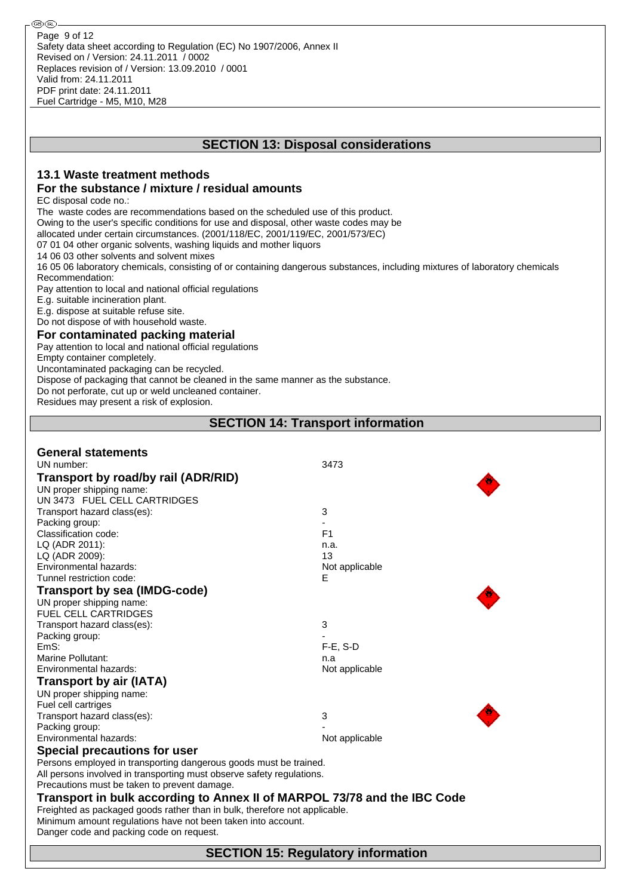#### **13.1 Waste treatment methods For the substance / mixture / residual amounts** EC disposal code no.: The waste codes are recommendations based on the scheduled use of this product. Owing to the user's specific conditions for use and disposal, other waste codes may be allocated under certain circumstances. (2001/118/EC, 2001/119/EC, 2001/573/EC) 07 01 04 other organic solvents, washing liquids and mother liquors 14 06 03 other solvents and solvent mixes 16 05 06 laboratory chemicals, consisting of or containing dangerous substances, including mixtures of laboratory chemicals Recommendation: Pay attention to local and national official regulations E.g. suitable incineration plant. E.g. dispose at suitable refuse site. Do not dispose of with household waste. **For contaminated packing material** Pay attention to local and national official regulations Empty container completely. Uncontaminated packaging can be recycled. Dispose of packaging that cannot be cleaned in the same manner as the substance. Do not perforate, cut up or weld uncleaned container. Residues may present a risk of explosion. **SECTION 14: Transport information General statements** UN number: 3473 **Transport by road/by rail (ADR/RID)** UN proper shipping name: UN 3473 FUEL CELL CARTRIDGES Transport hazard class(es): 3 Packing group: The contract of the contract of the contract of the contract of the contract of the contract of the contract of the contract of the contract of the contract of the contract of the contract of the contract of Classification code: LQ (ADR 2011): n.a. LQ (ADR 2009): 13 Environmental hazards: Not applicable Not applicable Tunnel restriction code: E **Transport by sea (IMDG-code)** UN proper shipping name: FUEL CELL CARTRIDGES Transport hazard class(es): 3 Packing group: EmS: F-E, S-D Marine Pollutant: n.a. Environmental hazards: Not applicable **Transport by air (IATA)** UN proper shipping name: Fuel cell cartriges Transport hazard class(es): 3 Packing group: Environmental hazards: Not applicable **Special precautions for user** Persons employed in transporting dangerous goods must be trained. All persons involved in transporting must observe safety regulations. Precautions must be taken to prevent damage. **Transport in bulk according to Annex II of MARPOL 73/78 and the IBC Code** Freighted as packaged goods rather than in bulk, therefore not applicable.

**SECTION 13: Disposal considerations**

Minimum amount regulations have not been taken into account.

Danger code and packing code on request.

**SECTION 15: Regulatory information**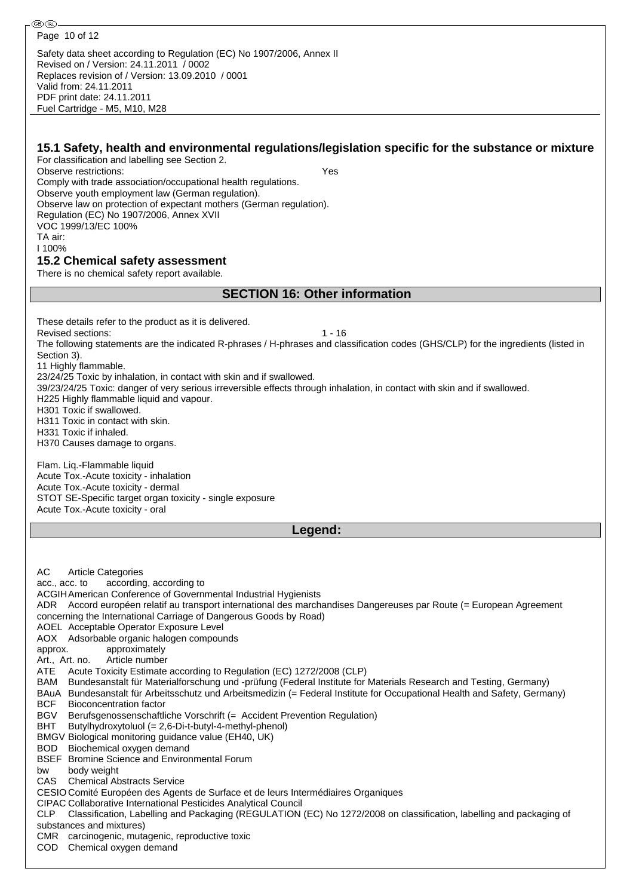**®** (R)

#### **15.1 Safety, health and environmental regulations/legislation specific for the substance or mixture** For classification and labelling see Section 2. Observe restrictions: Yes Comply with trade association/occupational health regulations. Observe youth employment law (German regulation). Observe law on protection of expectant mothers (German regulation). Regulation (EC) No 1907/2006, Annex XVII VOC 1999/13/EC 100% TA air: I 100% **15.2 Chemical safety assessment** There is no chemical safety report available. **SECTION 16: Other information** These details refer to the product as it is delivered. Revised sections: 1 - 16 The following statements are the indicated R-phrases / H-phrases and classification codes (GHS/CLP) for the ingredients (listed in Section 3). 11 Highly flammable. 23/24/25 Toxic by inhalation, in contact with skin and if swallowed. 39/23/24/25 Toxic: danger of very serious irreversible effects through inhalation, in contact with skin and if swallowed. H225 Highly flammable liquid and vapour. H301 Toxic if swallowed. H311 Toxic in contact with skin. H331 Toxic if inhaled. H370 Causes damage to organs. Flam. Liq.-Flammable liquid Acute Tox.-Acute toxicity - inhalation Acute Tox.-Acute toxicity - dermal STOT SE-Specific target organ toxicity - single exposure Acute Tox.-Acute toxicity - oral **Legend:** AC Article Categories acc., acc. to according, according to ACGIHAmerican Conference of Governmental Industrial Hygienists ADR Accord européen relatif au transport international des marchandises Dangereuses par Route (= European Agreement concerning the International Carriage of Dangerous Goods by Road) AOEL Acceptable Operator Exposure Level AOX Adsorbable organic halogen compounds approx. approximately Art., Art. no. Article number ATE Acute Toxicity Estimate according to Regulation (EC) 1272/2008 (CLP) BAM Bundesanstalt für Materialforschung und -prüfung (Federal Institute for Materials Research and Testing, Germany) BAuA Bundesanstalt für Arbeitsschutz und Arbeitsmedizin (= Federal Institute for Occupational Health and Safety, Germany) BCF Bioconcentration factor BGV Berufsgenossenschaftliche Vorschrift (= Accident Prevention Regulation) BHT Butylhydroxytoluol (= 2,6-Di-t-butyl-4-methyl-phenol) BMGV Biological monitoring guidance value (EH40, UK) BOD Biochemical oxygen demand BSEF Bromine Science and Environmental Forum bw body weight CAS Chemical Abstracts Service CESIO Comité Européen des Agents de Surface et de leurs Intermédiaires Organiques CIPAC Collaborative International Pesticides Analytical Council CLP Classification, Labelling and Packaging (REGULATION (EC) No 1272/2008 on classification, labelling and packaging of substances and mixtures) CMR carcinogenic, mutagenic, reproductive toxic COD Chemical oxygen demand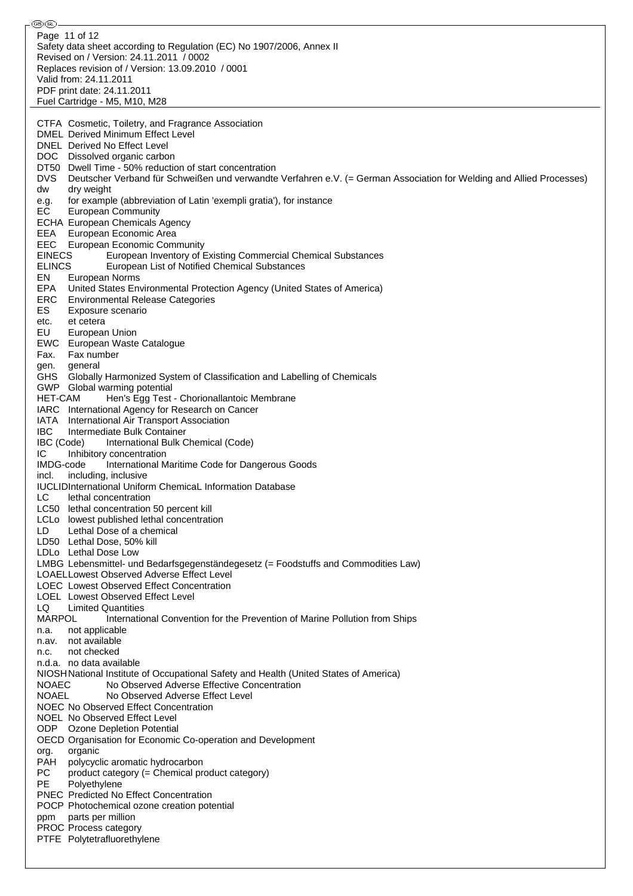⊛® Page 11 of 12Safety data sheet according to Regulation (EC) No 1907/2006, Annex II Revised on / Version: 24.11.2011 / 0002 Replaces revision of / Version: 13.09.2010 / 0001 Valid from: 24.11.2011 PDF print date: 24.11.2011 Fuel Cartridge - M5, M10, M28 CTFA Cosmetic, Toiletry, and Fragrance Association DMEL Derived Minimum Effect Level DNEL Derived No Effect Level DOC Dissolved organic carbon DT50 Dwell Time - 50% reduction of start concentration DVS Deutscher Verband für Schweißen und verwandte Verfahren e.V. (= German Association for Welding and Allied Processes) dw dry weight e.g. for example (abbreviation of Latin 'exempli gratia'), for instance EC European Community ECHA European Chemicals Agency EEA European Economic Area EEC European Economic Community<br>EINECS European Inventory of I European Inventory of Existing Commercial Chemical Substances ELINCS European List of Notified Chemical Substances EN European Norms EPA United States Environmental Protection Agency (United States of America) ERC Environmental Release Categories ES Exposure scenario etc. et cetera EU European Union EWC European Waste Catalogue Fax. Fax number gen. general GHS Globally Harmonized System of Classification and Labelling of Chemicals GWP Global warming potential HET-CAM Hen's Egg Test - Chorionallantoic Membrane IARC International Agency for Research on Cancer IATA International Air Transport Association IBC Intermediate Bulk Container IBC (Code) International Bulk Chemical (Code) IC Inhibitory concentration IMDG-code International Maritime Code for Dangerous Goods incl. including, inclusive IUCLIDInternational Uniform ChemicaL Information Database LC lethal concentration LC50 lethal concentration 50 percent kill LCLo lowest published lethal concentration LD Lethal Dose of a chemical LD50 Lethal Dose, 50% kill LDLo Lethal Dose Low LMBG Lebensmittel- und Bedarfsgegenständegesetz (= Foodstuffs and Commodities Law) LOAELLowest Observed Adverse Effect Level LOEC Lowest Observed Effect Concentration LOEL Lowest Observed Effect Level LQ Limited Quantities MARPOL International Convention for the Prevention of Marine Pollution from Ships n.a. not applicable n.av. not available n.c. not checked n.d.a. no data available NIOSHNational Institute of Occupational Safety and Health (United States of America) NOAEC No Observed Adverse Effective Concentration NOAEL No Observed Adverse Effect Level NOEC No Observed Effect Concentration NOEL No Observed Effect Level ODP Ozone Depletion Potential OECD Organisation for Economic Co-operation and Development org. organic PAH polycyclic aromatic hydrocarbon PC product category (= Chemical product category) PE Polyethylene PNEC Predicted No Effect Concentration POCP Photochemical ozone creation potential ppm parts per million PROC Process category PTFE Polytetrafluorethylene